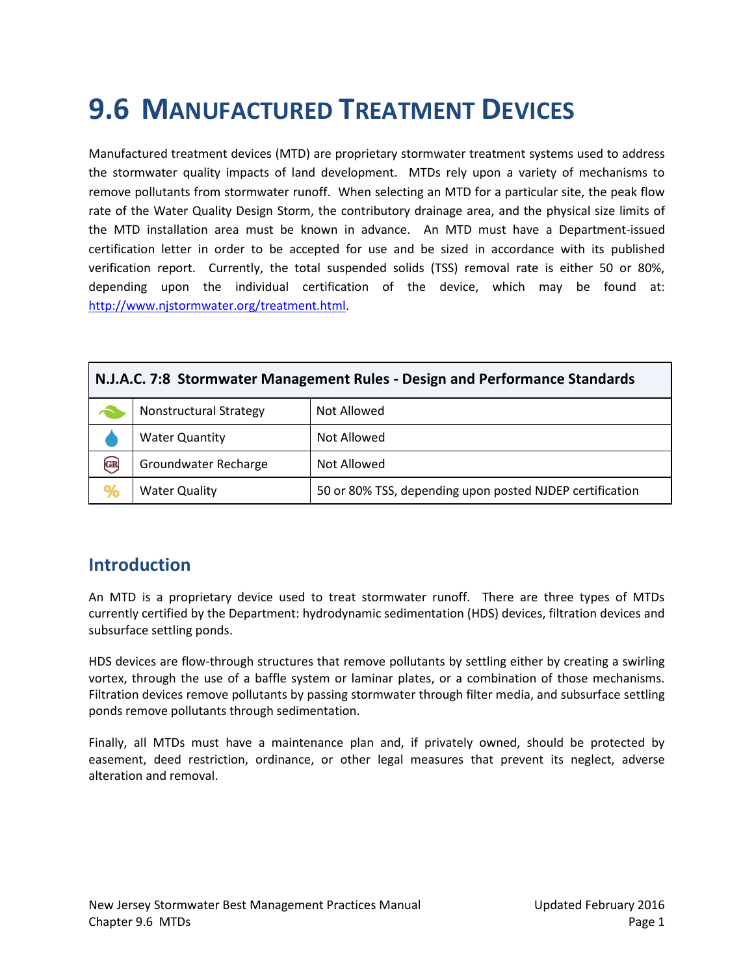# **9.6 MANUFACTURED TREATMENT DEVICES**

Manufactured treatment devices (MTD) are proprietary stormwater treatment systems used to address the stormwater quality impacts of land development. MTDs rely upon a variety of mechanisms to remove pollutants from stormwater runoff. When selecting an MTD for a particular site, the peak flow rate of the Water Quality Design Storm, the contributory drainage area, and the physical size limits of the MTD installation area must be known in advance. An MTD must have a Department-issued certification letter in order to be accepted for use and be sized in accordance with its published verification report. Currently, the total suspended solids (TSS) removal rate is either 50 or 80%, depending upon the individual certification of the device, which may be found at: [http://www.njstormwater.org/treatment.html.](http://www.njstormwater.org/treatment.html)

| N.J.A.C. 7:8 Stormwater Management Rules - Design and Performance Standards |                               |                                                          |
|-----------------------------------------------------------------------------|-------------------------------|----------------------------------------------------------|
|                                                                             | <b>Nonstructural Strategy</b> | Not Allowed                                              |
|                                                                             | <b>Water Quantity</b>         | Not Allowed                                              |
| $\bigodot$                                                                  | Groundwater Recharge          | Not Allowed                                              |
|                                                                             | <b>Water Quality</b>          | 50 or 80% TSS, depending upon posted NJDEP certification |

### **Introduction**

An MTD is a proprietary device used to treat stormwater runoff. There are three types of MTDs currently certified by the Department: hydrodynamic sedimentation (HDS) devices, filtration devices and subsurface settling ponds.

HDS devices are flow-through structures that remove pollutants by settling either by creating a swirling vortex, through the use of a baffle system or laminar plates, or a combination of those mechanisms. Filtration devices remove pollutants by passing stormwater through filter media, and subsurface settling ponds remove pollutants through sedimentation.

Finally, all MTDs must have a maintenance plan and, if privately owned, should be protected by easement, deed restriction, ordinance, or other legal measures that prevent its neglect, adverse alteration and removal.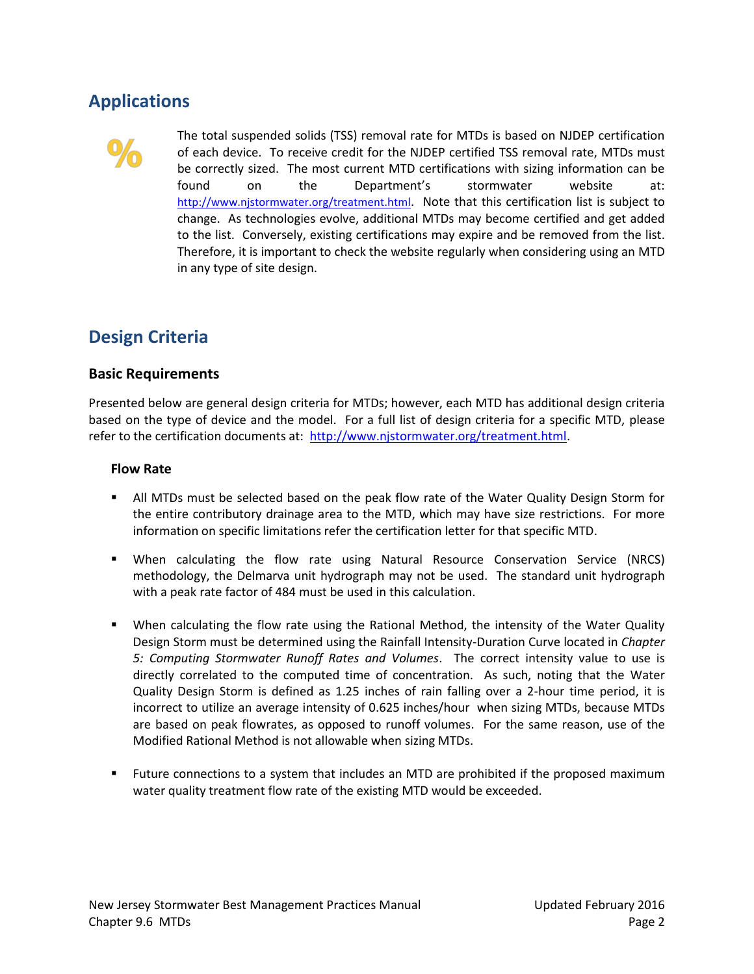# **Applications**



The total suspended solids (TSS) removal rate for MTDs is based on NJDEP certification of each device. To receive credit for the NJDEP certified TSS removal rate, MTDs must be correctly sized. The most current MTD certifications with sizing information can be found on the Department's stormwater website at: <http://www.njstormwater.org/treatment.html>. Note that this certification list is subject to change. As technologies evolve, additional MTDs may become certified and get added to the list. Conversely, existing certifications may expire and be removed from the list. Therefore, it is important to check the website regularly when considering using an MTD in any type of site design.

## **Design Criteria**

### **Basic Requirements**

Presented below are general design criteria for MTDs; however, each MTD has additional design criteria based on the type of device and the model. For a full list of design criteria for a specific MTD, please refer to the certification documents at: [http://www.njstormwater.org/treatment.html.](http://www.njstormwater.org/treatment.html)

### **Flow Rate**

- All MTDs must be selected based on the peak flow rate of the Water Quality Design Storm for the entire contributory drainage area to the MTD, which may have size restrictions. For more information on specific limitations refer the certification letter for that specific MTD.
- When calculating the flow rate using Natural Resource Conservation Service (NRCS) methodology, the Delmarva unit hydrograph may not be used. The standard unit hydrograph with a peak rate factor of 484 must be used in this calculation.
- When calculating the flow rate using the Rational Method, the intensity of the Water Quality Design Storm must be determined using the Rainfall Intensity-Duration Curve located in *Chapter 5: Computing Stormwater Runoff Rates and Volumes*. The correct intensity value to use is directly correlated to the computed time of concentration. As such, noting that the Water Quality Design Storm is defined as 1.25 inches of rain falling over a 2-hour time period, it is incorrect to utilize an average intensity of 0.625 inches/hour when sizing MTDs, because MTDs are based on peak flowrates, as opposed to runoff volumes. For the same reason, use of the Modified Rational Method is not allowable when sizing MTDs.
- Future connections to a system that includes an MTD are prohibited if the proposed maximum water quality treatment flow rate of the existing MTD would be exceeded.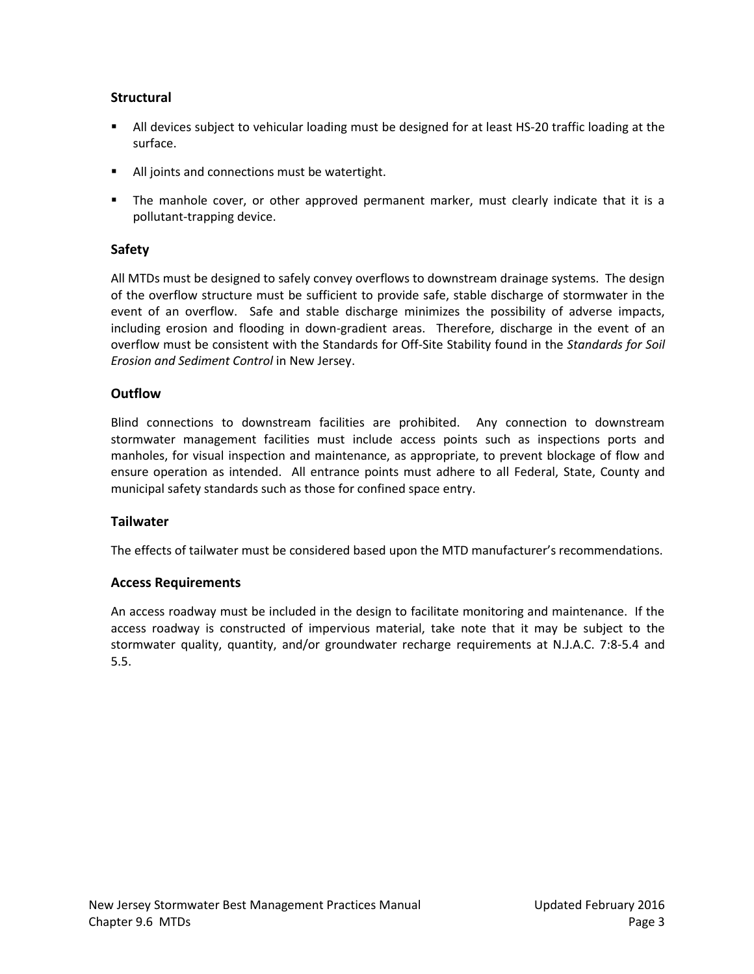### **Structural**

- All devices subject to vehicular loading must be designed for at least HS-20 traffic loading at the surface.
- **All joints and connections must be watertight.**
- The manhole cover, or other approved permanent marker, must clearly indicate that it is a pollutant-trapping device.

### **Safety**

All MTDs must be designed to safely convey overflows to downstream drainage systems. The design of the overflow structure must be sufficient to provide safe, stable discharge of stormwater in the event of an overflow. Safe and stable discharge minimizes the possibility of adverse impacts, including erosion and flooding in down-gradient areas. Therefore, discharge in the event of an overflow must be consistent with the Standards for Off-Site Stability found in the *Standards for Soil Erosion and Sediment Control* in New Jersey.

### **Outflow**

Blind connections to downstream facilities are prohibited. Any connection to downstream stormwater management facilities must include access points such as inspections ports and manholes, for visual inspection and maintenance, as appropriate, to prevent blockage of flow and ensure operation as intended. All entrance points must adhere to all Federal, State, County and municipal safety standards such as those for confined space entry.

### **Tailwater**

The effects of tailwater must be considered based upon the MTD manufacturer's recommendations.

### **Access Requirements**

An access roadway must be included in the design to facilitate monitoring and maintenance. If the access roadway is constructed of impervious material, take note that it may be subject to the stormwater quality, quantity, and/or groundwater recharge requirements at N.J.A.C. 7:8-5.4 and 5.5.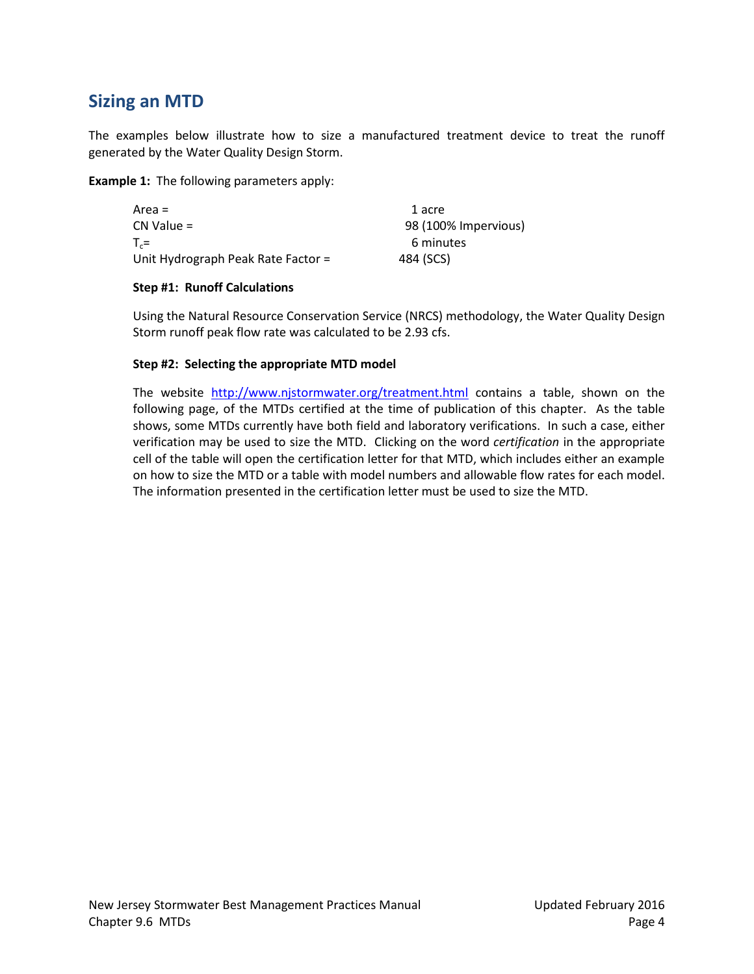# **Sizing an MTD**

The examples below illustrate how to size a manufactured treatment device to treat the runoff generated by the Water Quality Design Storm.

**Example 1:** The following parameters apply:

| Area =                             | 1 acre               |
|------------------------------------|----------------------|
| CN Value =                         | 98 (100% Impervious) |
| $T_c =$                            | 6 minutes            |
| Unit Hydrograph Peak Rate Factor = | 484 (SCS)            |

#### **Step #1: Runoff Calculations**

Using the Natural Resource Conservation Service (NRCS) methodology, the Water Quality Design Storm runoff peak flow rate was calculated to be 2.93 cfs.

#### **Step #2: Selecting the appropriate MTD model**

The website <http://www.njstormwater.org/treatment.html> contains a table, shown on the following page, of the MTDs certified at the time of publication of this chapter. As the table shows, some MTDs currently have both field and laboratory verifications. In such a case, either verification may be used to size the MTD. Clicking on the word *certification* in the appropriate cell of the table will open the certification letter for that MTD, which includes either an example on how to size the MTD or a table with model numbers and allowable flow rates for each model. The information presented in the certification letter must be used to size the MTD.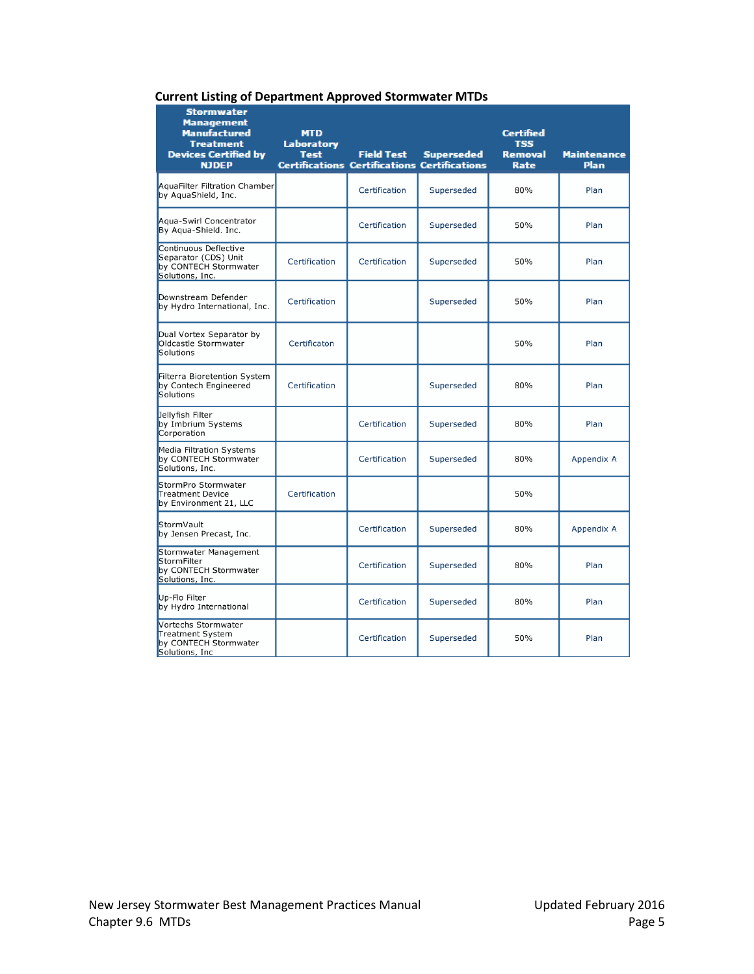|  | <b>Current Listing of Department Approved Stormwater MTDs</b> |
|--|---------------------------------------------------------------|
|--|---------------------------------------------------------------|

| <b>Stormwater</b><br><b>Management</b><br>Manufactured<br><b>Treatment</b><br><b>Devices Certified by</b><br><b>NJDEP</b> | <b>MTD</b><br>Laboratory<br><b>Test</b> | <b>Field Test</b><br><b>Certifications Certifications Certifications</b> | Superseded | <b>Certified</b><br><b>TSS</b><br><b>Removal</b><br>Rate | <b>Maintenance</b><br>Plan |
|---------------------------------------------------------------------------------------------------------------------------|-----------------------------------------|--------------------------------------------------------------------------|------------|----------------------------------------------------------|----------------------------|
| AquaFilter Filtration Chamber<br>by AquaShield, Inc.                                                                      |                                         | Certification                                                            | Superseded | 80%                                                      | Plan                       |
| Agua-Swirl Concentrator<br>By Agua-Shield. Inc.                                                                           |                                         | Certification                                                            | Superseded | 50%                                                      | Plan                       |
| Continuous Deflective<br>Separator (CDS) Unit<br>by CONTECH Stormwater<br>Solutions, Inc.                                 | Certification                           | Certification                                                            | Superseded | 50%                                                      | Plan                       |
| Downstream Defender<br>by Hydro International, Inc.                                                                       | Certification                           |                                                                          | Superseded | 50%                                                      | Plan                       |
| Dual Vortex Separator by<br>Oldcastle Stormwater<br>Solutions                                                             | Certificaton                            |                                                                          |            | 50%                                                      | Plan                       |
| Filterra Bioretention System<br>by Contech Engineered<br>Solutions                                                        | Certification                           |                                                                          | Superseded | 80%                                                      | Plan                       |
| Jellyfish Filter<br>by Imbrium Systems<br>Corporation                                                                     |                                         | Certification                                                            | Superseded | 80%                                                      | Plan                       |
| Media Filtration Systems<br>by CONTECH Stormwater<br>Solutions, Inc.                                                      |                                         | Certification                                                            | Superseded | 80%                                                      | Appendix A                 |
| StormPro Stormwater<br><b>Treatment Device</b><br>by Environment 21, LLC                                                  | Certification                           |                                                                          |            | 50%                                                      |                            |
| StormVault<br>by Jensen Precast, Inc.                                                                                     |                                         | Certification                                                            | Superseded | 80%                                                      | Appendix A                 |
| Stormwater Management<br>StormFilter<br>by CONTECH Stormwater<br>Solutions, Inc.                                          |                                         | Certification                                                            | Superseded | 80%                                                      | Plan                       |
| Up-Flo Filter<br>by Hydro International                                                                                   |                                         | Certification                                                            | Superseded | 80%                                                      | Plan                       |
| Vortechs Stormwater<br>Treatment System<br>by CONTECH Stormwater<br>Solutions, Inc                                        |                                         | Certification                                                            | Superseded | 50%                                                      | Plan                       |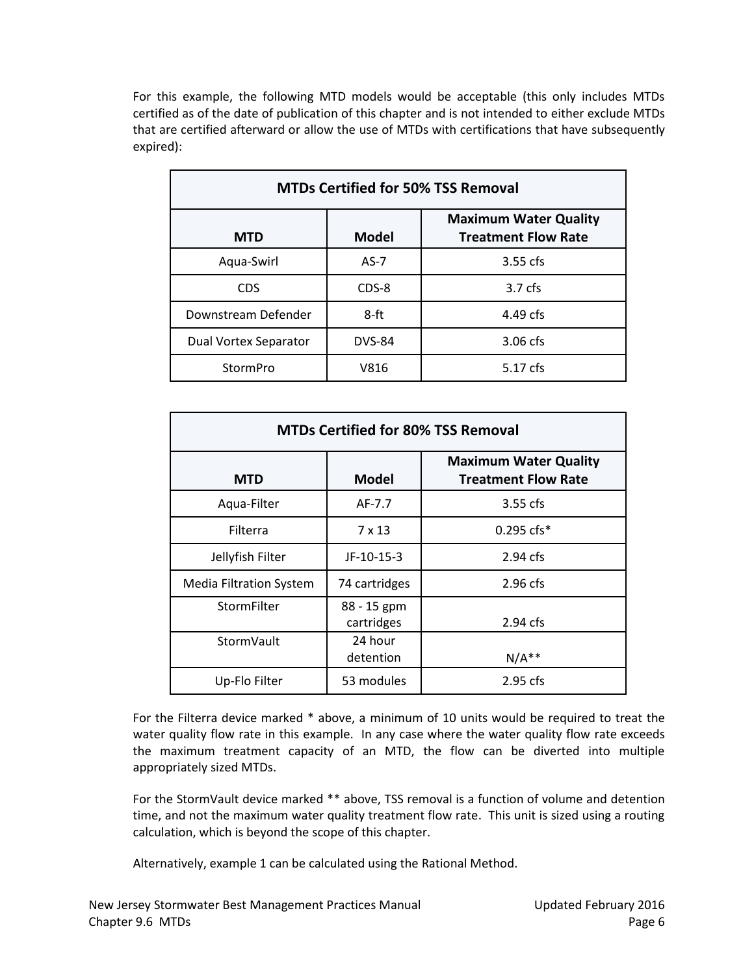For this example, the following MTD models would be acceptable (this only includes MTDs certified as of the date of publication of this chapter and is not intended to either exclude MTDs that are certified afterward or allow the use of MTDs with certifications that have subsequently expired):

| <b>MTDs Certified for 50% TSS Removal</b> |               |                                                            |  |
|-------------------------------------------|---------------|------------------------------------------------------------|--|
| <b>MTD</b>                                | <b>Model</b>  | <b>Maximum Water Quality</b><br><b>Treatment Flow Rate</b> |  |
| Aqua-Swirl                                | $AS-7$        | 3.55 cfs                                                   |  |
| <b>CDS</b>                                | CDS-8         | 3.7 <sub>cfs</sub>                                         |  |
| Downstream Defender                       | 8-ft          | 4.49 cfs                                                   |  |
| Dual Vortex Separator                     | <b>DVS-84</b> | $3.06$ cfs                                                 |  |
| StormPro                                  | V816          | 5.17 cfs                                                   |  |

| <b>MTDs Certified for 80% TSS Removal</b> |                           |                                                            |  |
|-------------------------------------------|---------------------------|------------------------------------------------------------|--|
| MTD                                       | Model                     | <b>Maximum Water Quality</b><br><b>Treatment Flow Rate</b> |  |
| Aqua-Filter                               | AF-7.7                    | $3.55$ cfs                                                 |  |
| Filterra                                  | $7 \times 13$             | $0.295$ cfs $*$                                            |  |
| Jellyfish Filter                          | JF-10-15-3                | $2.94$ cfs                                                 |  |
| <b>Media Filtration System</b>            | 74 cartridges             | $2.96$ cfs                                                 |  |
| StormFilter                               | 88 - 15 gpm<br>cartridges | 2.94 cfs                                                   |  |
| StormVault                                | 24 hour<br>detention      | $N/A**$                                                    |  |
| Up-Flo Filter                             | 53 modules                | 2.95 cfs                                                   |  |

For the Filterra device marked \* above, a minimum of 10 units would be required to treat the water quality flow rate in this example. In any case where the water quality flow rate exceeds the maximum treatment capacity of an MTD, the flow can be diverted into multiple appropriately sized MTDs.

For the StormVault device marked \*\* above, TSS removal is a function of volume and detention time, and not the maximum water quality treatment flow rate. This unit is sized using a routing calculation, which is beyond the scope of this chapter.

Alternatively, example 1 can be calculated using the Rational Method.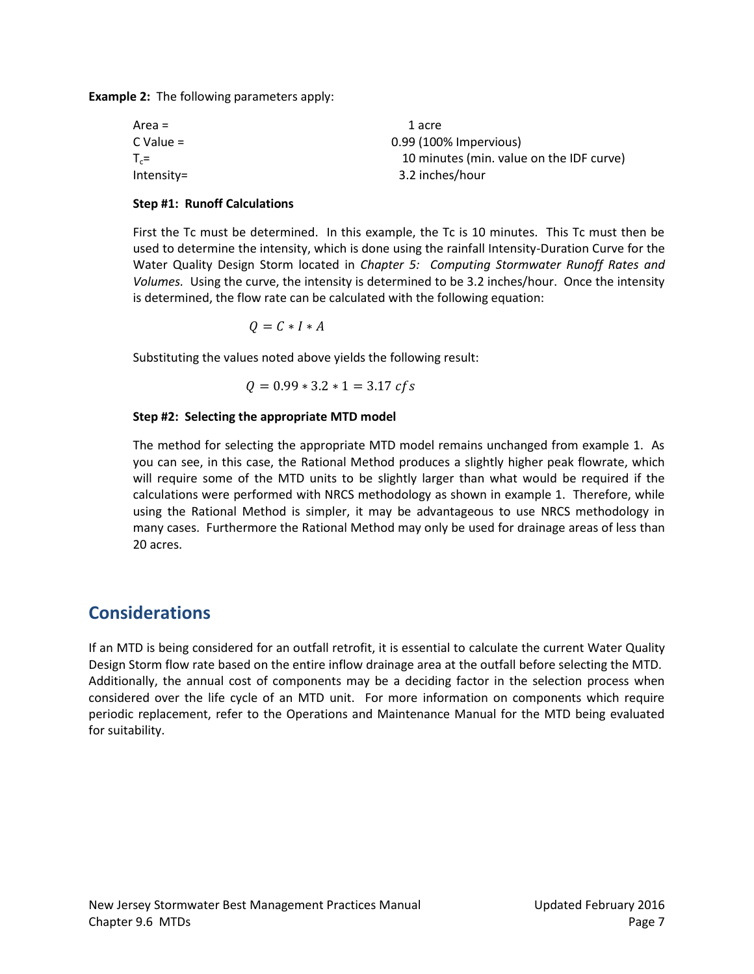**Example 2:** The following parameters apply:

| Area =     | 1 acre                                   |
|------------|------------------------------------------|
| C Value =  | 0.99 (100% Impervious)                   |
| $T_c =$    | 10 minutes (min. value on the IDF curve) |
| Intensity= | 3.2 inches/hour                          |
|            |                                          |

#### **Step #1: Runoff Calculations**

First the Tc must be determined. In this example, the Tc is 10 minutes. This Tc must then be used to determine the intensity, which is done using the rainfall Intensity-Duration Curve for the Water Quality Design Storm located in *Chapter 5: Computing Stormwater Runoff Rates and Volumes.* Using the curve, the intensity is determined to be 3.2 inches/hour. Once the intensity is determined, the flow rate can be calculated with the following equation:

 $Q = C * I * A$ 

Substituting the values noted above yields the following result:

$$
Q = 0.99 * 3.2 * 1 = 3.17 \, \text{cfs}
$$

#### **Step #2: Selecting the appropriate MTD model**

The method for selecting the appropriate MTD model remains unchanged from example 1. As you can see, in this case, the Rational Method produces a slightly higher peak flowrate, which will require some of the MTD units to be slightly larger than what would be required if the calculations were performed with NRCS methodology as shown in example 1. Therefore, while using the Rational Method is simpler, it may be advantageous to use NRCS methodology in many cases. Furthermore the Rational Method may only be used for drainage areas of less than 20 acres.

### **Considerations**

If an MTD is being considered for an outfall retrofit, it is essential to calculate the current Water Quality Design Storm flow rate based on the entire inflow drainage area at the outfall before selecting the MTD. Additionally, the annual cost of components may be a deciding factor in the selection process when considered over the life cycle of an MTD unit. For more information on components which require periodic replacement, refer to the Operations and Maintenance Manual for the MTD being evaluated for suitability.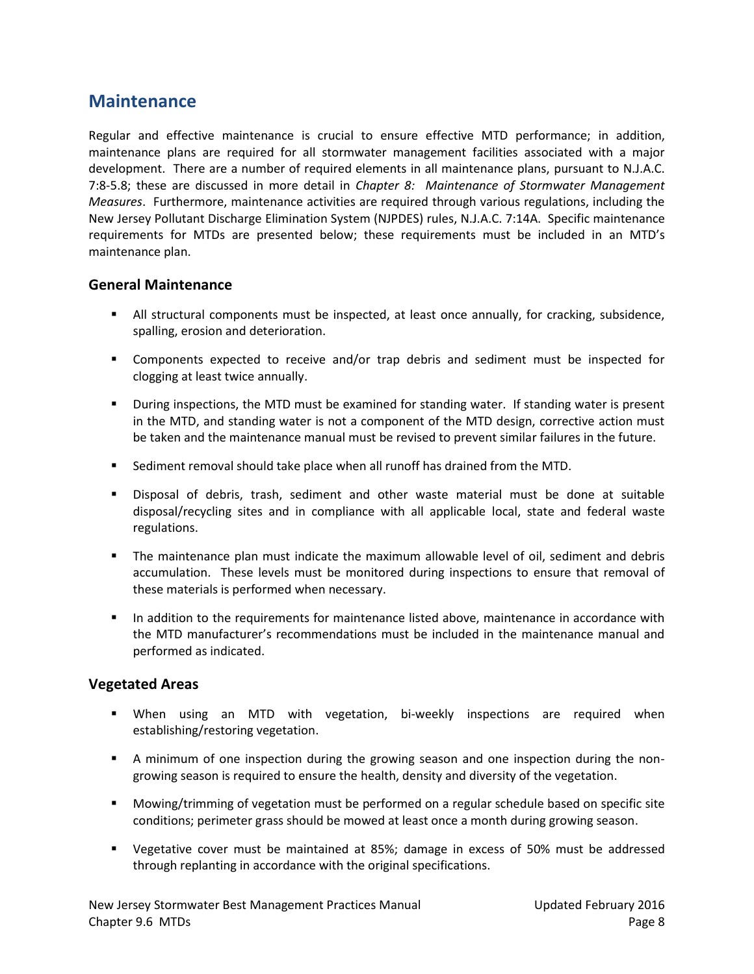### **Maintenance**

Regular and effective maintenance is crucial to ensure effective MTD performance; in addition, maintenance plans are required for all stormwater management facilities associated with a major development. There are a number of required elements in all maintenance plans, pursuant to N.J.A.C. 7:8-5.8; these are discussed in more detail in *Chapter 8: Maintenance of Stormwater Management Measures*. Furthermore, maintenance activities are required through various regulations, including the New Jersey Pollutant Discharge Elimination System (NJPDES) rules, N.J.A.C. 7:14A. Specific maintenance requirements for MTDs are presented below; these requirements must be included in an MTD's maintenance plan.

### **General Maintenance**

- All structural components must be inspected, at least once annually, for cracking, subsidence, spalling, erosion and deterioration.
- Components expected to receive and/or trap debris and sediment must be inspected for clogging at least twice annually.
- **•** During inspections, the MTD must be examined for standing water. If standing water is present in the MTD, and standing water is not a component of the MTD design, corrective action must be taken and the maintenance manual must be revised to prevent similar failures in the future.
- Sediment removal should take place when all runoff has drained from the MTD.
- Disposal of debris, trash, sediment and other waste material must be done at suitable disposal/recycling sites and in compliance with all applicable local, state and federal waste regulations.
- The maintenance plan must indicate the maximum allowable level of oil, sediment and debris accumulation. These levels must be monitored during inspections to ensure that removal of these materials is performed when necessary.
- **IF** In addition to the requirements for maintenance listed above, maintenance in accordance with the MTD manufacturer's recommendations must be included in the maintenance manual and performed as indicated.

### **Vegetated Areas**

- When using an MTD with vegetation, bi-weekly inspections are required when establishing/restoring vegetation.
- A minimum of one inspection during the growing season and one inspection during the nongrowing season is required to ensure the health, density and diversity of the vegetation.
- Mowing/trimming of vegetation must be performed on a regular schedule based on specific site conditions; perimeter grass should be mowed at least once a month during growing season.
- Vegetative cover must be maintained at 85%; damage in excess of 50% must be addressed through replanting in accordance with the original specifications.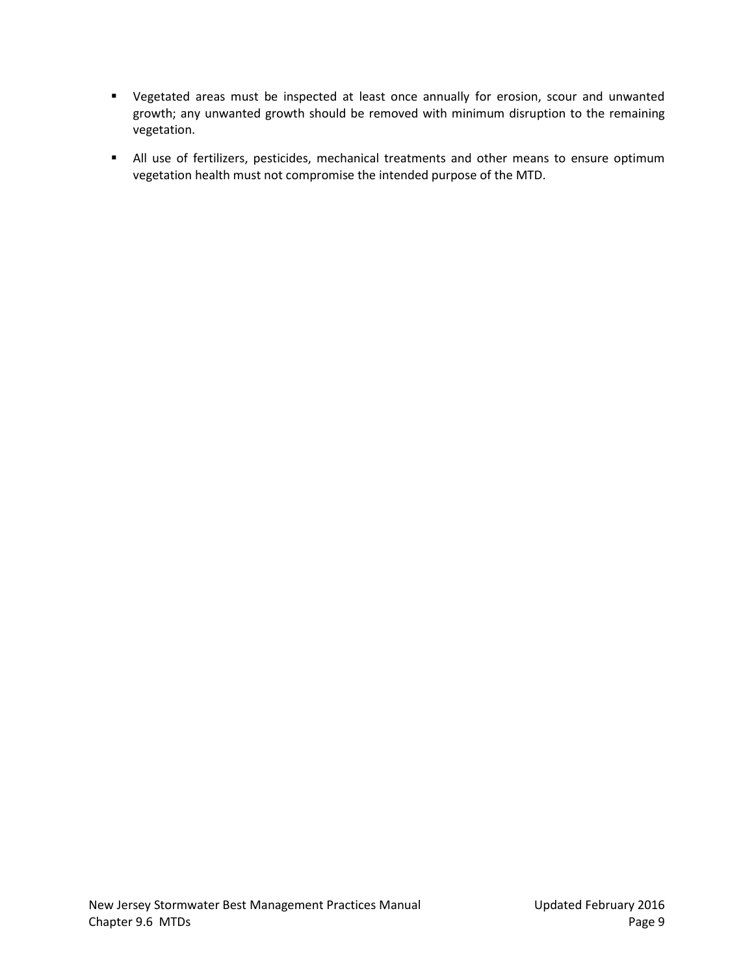- Vegetated areas must be inspected at least once annually for erosion, scour and unwanted growth; any unwanted growth should be removed with minimum disruption to the remaining vegetation.
- All use of fertilizers, pesticides, mechanical treatments and other means to ensure optimum vegetation health must not compromise the intended purpose of the MTD.